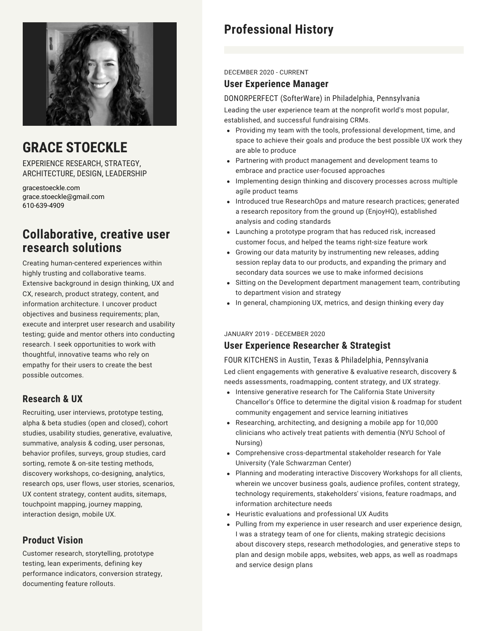

# **GRACE STOECKLE**

EXPERIENCE RESEARCH, STRATEGY, ARCHITECTURE, DESIGN, LEADERSHIP

gracestoeckle.com grace.stoeckle@gmail.com 610-639-4909

## **Collaborative, creative user research solutions**

Creating human-centered experiences within highly trusting and collaborative teams. Extensive background in design thinking, UX and CX, research, product strategy, content, and information architecture. I uncover product objectives and business requirements; plan, execute and interpret user research and usability testing; guide and mentor others into conducting research. I seek opportunities to work with thoughtful, innovative teams who rely on empathy for their users to create the best possible outcomes.

## **Research & UX**

Recruiting, user interviews, prototype testing, alpha & beta studies (open and closed), cohort studies, usability studies, generative, evaluative, summative, analysis & coding, user personas, behavior profiles, surveys, group studies, card sorting, remote & on-site testing methods, discovery workshops, co-designing, analytics, research ops, user flows, user stories, scenarios, UX content strategy, content audits, sitemaps, touchpoint mapping, journey mapping, interaction design, mobile UX.

## **Product Vision**

Customer research, storytelling, prototype testing, lean experiments, defining key performance indicators, conversion strategy, documenting feature rollouts.

# **Professional History**

### DECEMBER 2020 - CURRENT

### **User Experience Manager**

DONORPERFECT (SofterWare) in Philadelphia, Pennsylvania Leading the user experience team at the nonprofit world's most popular, established, and successful fundraising CRMs.

- Providing my team with the tools, professional development, time, and space to achieve their goals and produce the best possible UX work they are able to produce
- Partnering with product management and development teams to embrace and practice user-focused approaches
- Implementing design thinking and discovery processes across multiple agile product teams
- Introduced true ResearchOps and mature research practices; generated a research repository from the ground up (EnjoyHQ), established analysis and coding standards
- Launching a prototype program that has reduced risk, increased customer focus, and helped the teams right-size feature work
- Growing our data maturity by instrumenting new releases, adding session replay data to our products, and expanding the primary and secondary data sources we use to make informed decisions
- Sitting on the Development department management team, contributing to department vision and strategy
- In general, championing UX, metrics, and design thinking every day

### JANUARY 2019 - DECEMBER 2020

## **User Experience Researcher & Strategist**

FOUR KITCHENS in Austin, Texas & Philadelphia, Pennsylvania Led client engagements with generative & evaluative research, discovery & needs assessments, roadmapping, content strategy, and UX strategy.

- Intensive generative research for The California State University Chancellor's Office to determine the digital vision & roadmap for student community engagement and service learning initiatives
- Researching, architecting, and designing a mobile app for 10,000 clinicians who actively treat patients with dementia (NYU School of Nursing)
- Comprehensive cross-departmental stakeholder research for Yale University (Yale Schwarzman Center)
- Planning and moderating interactive Discovery Workshops for all clients, wherein we uncover business goals, audience profiles, content strategy, technology requirements, stakeholders' visions, feature roadmaps, and information architecture needs
- Heuristic evaluations and professional UX Audits
- Pulling from my experience in user research and user experience design, I was a strategy team of one for clients, making strategic decisions about discovery steps, research methodologies, and generative steps to plan and design mobile apps, websites, web apps, as well as roadmaps and service design plans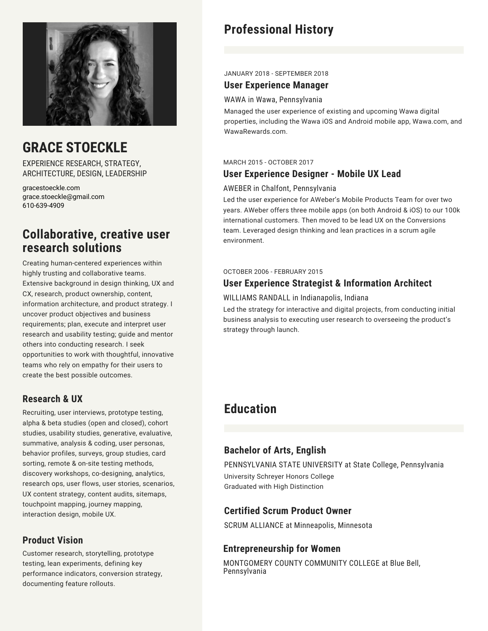

# **GRACE STOECKLE**

EXPERIENCE RESEARCH, STRATEGY, ARCHITECTURE, DESIGN, LEADERSHIP

gracestoeckle.com grace.stoeckle@gmail.com 610-639-4909

## **Collaborative, creative user research solutions**

Creating human-centered experiences within highly trusting and collaborative teams. Extensive background in design thinking, UX and CX, research, product ownership, content, information architecture, and product strategy. I uncover product objectives and business requirements; plan, execute and interpret user research and usability testing; guide and mentor others into conducting research. I seek opportunities to work with thoughtful, innovative teams who rely on empathy for their users to create the best possible outcomes.

## **Research & UX**

Recruiting, user interviews, prototype testing, alpha & beta studies (open and closed), cohort studies, usability studies, generative, evaluative, summative, analysis & coding, user personas, behavior profiles, surveys, group studies, card sorting, remote & on-site testing methods, discovery workshops, co-designing, analytics, research ops, user flows, user stories, scenarios, UX content strategy, content audits, sitemaps, touchpoint mapping, journey mapping, interaction design, mobile UX.

## **Product Vision**

Customer research, storytelling, prototype testing, lean experiments, defining key performance indicators, conversion strategy, documenting feature rollouts.

# **Professional History**

#### JANUARY 2018 - SEPTEMBER 2018

## **User Experience Manager**

#### WAWA in Wawa, Pennsylvania

Managed the user experience of existing and upcoming Wawa digital properties, including the Wawa iOS and Android mobile app, Wawa.com, and WawaRewards.com.

#### MARCH 2015 - OCTOBER 2017

### **User Experience Designer - Mobile UX Lead**

### AWEBER in Chalfont, Pennsylvania

Led the user experience for AWeber's Mobile Products Team for over two years. AWeber offers three mobile apps (on both Android & iOS) to our 100k international customers. Then moved to be lead UX on the Conversions team. Leveraged design thinking and lean practices in a scrum agile environment.

#### OCTOBER 2006 - FEBRUARY 2015

## **User Experience Strategist & Information Architect**

### WILLIAMS RANDALL in Indianapolis, Indiana

Led the strategy for interactive and digital projects, from conducting initial business analysis to executing user research to overseeing the product's strategy through launch.

## **Education**

## **Bachelor of Arts, English**

PENNSYLVANIA STATE UNIVERSITY at State College, Pennsylvania University Schreyer Honors College Graduated with High Distinction

## **Certified Scrum Product Owner**

SCRUM ALLIANCE at Minneapolis, Minnesota

## **Entrepreneurship for Women**

MONTGOMERY COUNTY COMMUNITY COLLEGE at Blue Bell, Pennsylvania